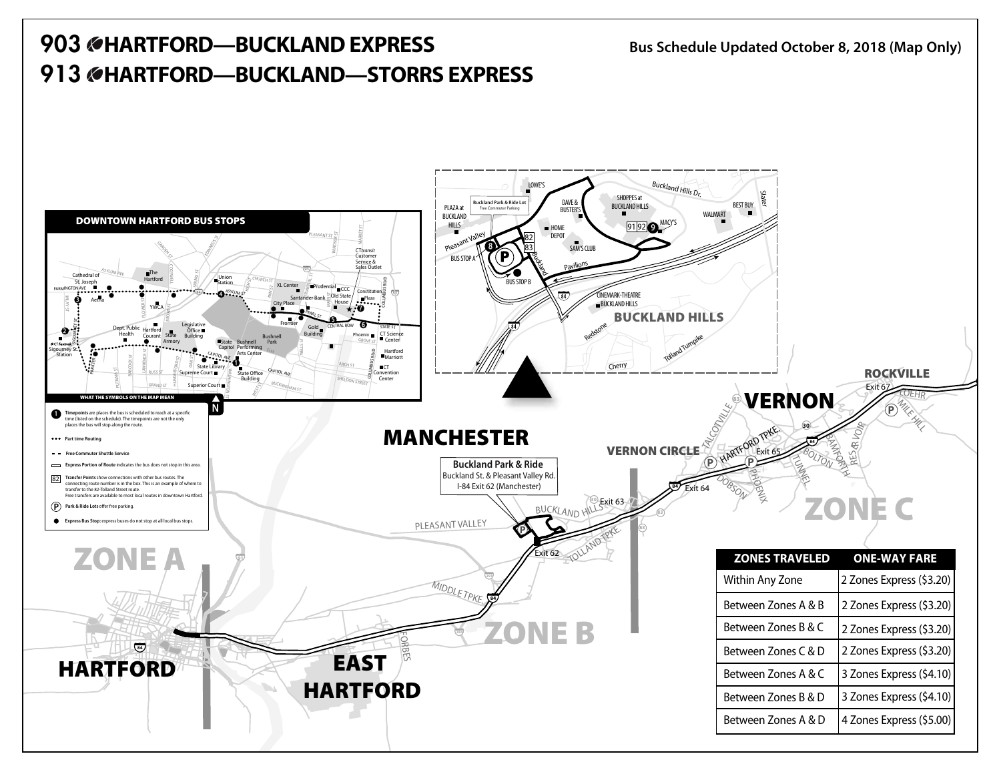## **903 HARTFORD—BUCKLANDEXPRESS Bus Schedule Updated October 8, <sup>2018</sup> (Map Only) 913 HARTFORD—BUCKLAND—STORRS EXPRESS**

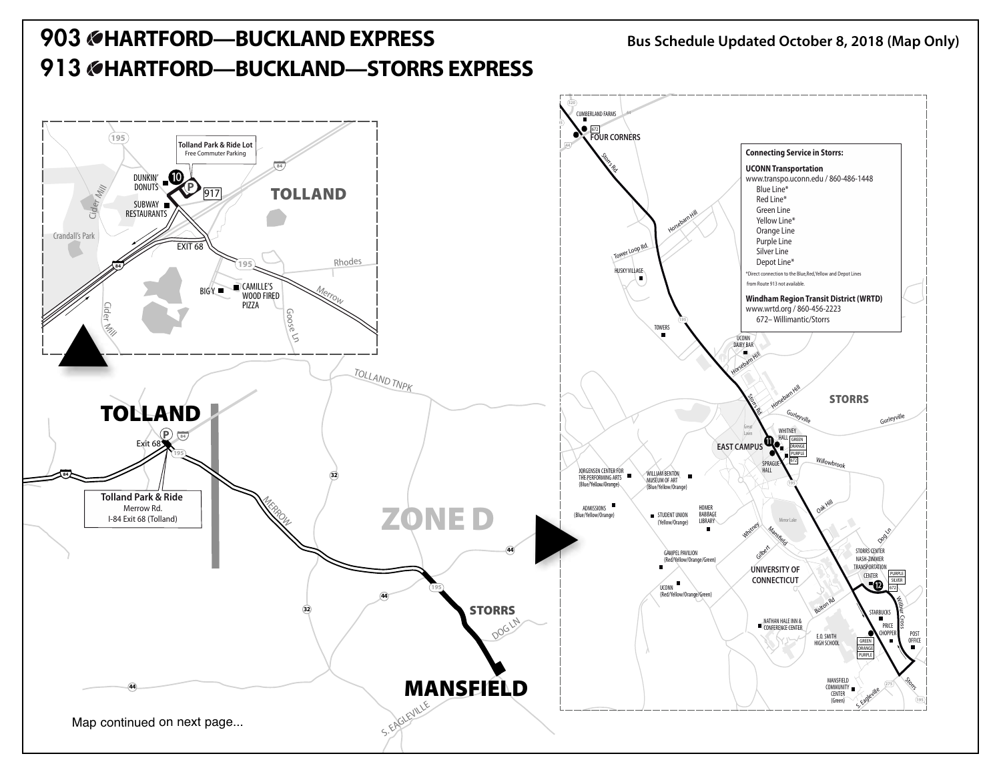## **903 HARTFORD—BUCKLANDEXPRESS Bus Schedule Updated October 8, <sup>2018</sup> (Map Only) 913 HARTFORD—BUCKLAND—STORRS EXPRESS**